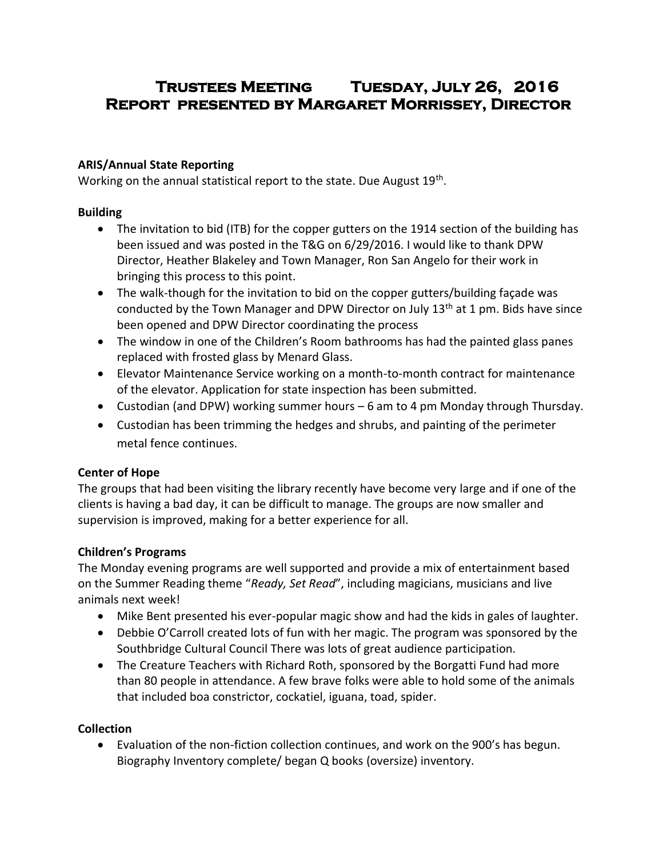# **Trustees Meeting Tuesday, July 26, 2016 Report presented by Margaret Morrissey, Director**

#### **ARIS/Annual State Reporting**

Working on the annual statistical report to the state. Due August 19<sup>th</sup>.

#### **Building**

- The invitation to bid (ITB) for the copper gutters on the 1914 section of the building has been issued and was posted in the T&G on 6/29/2016. I would like to thank DPW Director, Heather Blakeley and Town Manager, Ron San Angelo for their work in bringing this process to this point.
- The walk-though for the invitation to bid on the copper gutters/building façade was conducted by the Town Manager and DPW Director on July 13<sup>th</sup> at 1 pm. Bids have since been opened and DPW Director coordinating the process
- The window in one of the Children's Room bathrooms has had the painted glass panes replaced with frosted glass by Menard Glass.
- Elevator Maintenance Service working on a month-to-month contract for maintenance of the elevator. Application for state inspection has been submitted.
- Custodian (and DPW) working summer hours 6 am to 4 pm Monday through Thursday.
- Custodian has been trimming the hedges and shrubs, and painting of the perimeter metal fence continues.

### **Center of Hope**

The groups that had been visiting the library recently have become very large and if one of the clients is having a bad day, it can be difficult to manage. The groups are now smaller and supervision is improved, making for a better experience for all.

### **Children's Programs**

The Monday evening programs are well supported and provide a mix of entertainment based on the Summer Reading theme "*Ready, Set Read*", including magicians, musicians and live animals next week!

- Mike Bent presented his ever-popular magic show and had the kids in gales of laughter.
- Debbie O'Carroll created lots of fun with her magic. The program was sponsored by the Southbridge Cultural Council There was lots of great audience participation.
- The Creature Teachers with Richard Roth, sponsored by the Borgatti Fund had more than 80 people in attendance. A few brave folks were able to hold some of the animals that included boa constrictor, cockatiel, iguana, toad, spider.

### **Collection**

 Evaluation of the non-fiction collection continues, and work on the 900's has begun. Biography Inventory complete/ began Q books (oversize) inventory.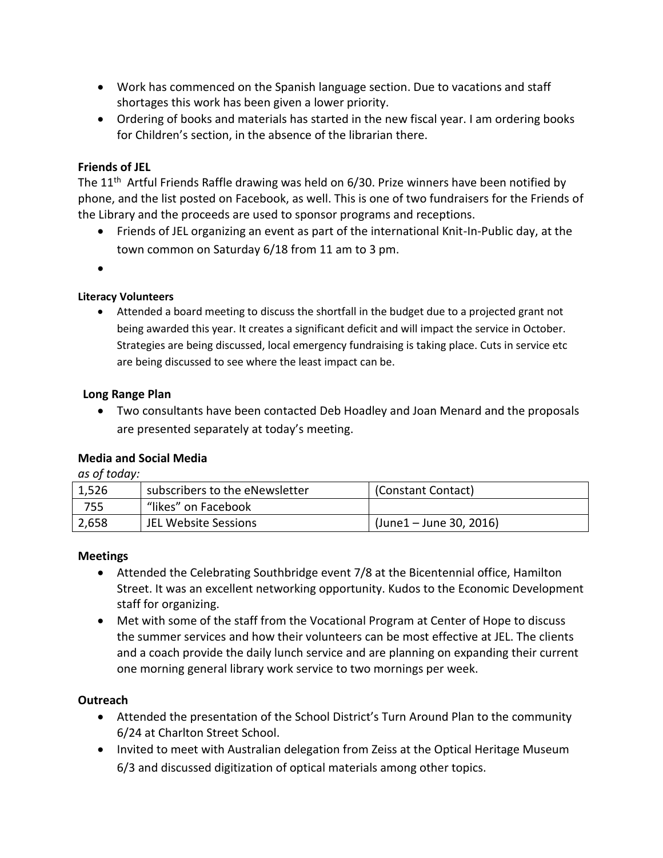- Work has commenced on the Spanish language section. Due to vacations and staff shortages this work has been given a lower priority.
- Ordering of books and materials has started in the new fiscal year. I am ordering books for Children's section, in the absence of the librarian there.

#### **Friends of JEL**

The 11<sup>th</sup> Artful Friends Raffle drawing was held on 6/30. Prize winners have been notified by phone, and the list posted on Facebook, as well. This is one of two fundraisers for the Friends of the Library and the proceeds are used to sponsor programs and receptions.

- Friends of JEL organizing an event as part of the international Knit-In-Public day, at the town common on Saturday 6/18 from 11 am to 3 pm.
- $\bullet$

#### **Literacy Volunteers**

 Attended a board meeting to discuss the shortfall in the budget due to a projected grant not being awarded this year. It creates a significant deficit and will impact the service in October. Strategies are being discussed, local emergency fundraising is taking place. Cuts in service etc are being discussed to see where the least impact can be.

#### **Long Range Plan**

 Two consultants have been contacted Deb Hoadley and Joan Menard and the proposals are presented separately at today's meeting.

#### **Media and Social Media**

*as of today:*

| 1,526 | subscribers to the eNewsletter | (Constant Contact)         |
|-------|--------------------------------|----------------------------|
| 755   | "likes" on Facebook            |                            |
| 2,658 | JEL Website Sessions           | $(June 1 - June 30, 2016)$ |

#### **Meetings**

- Attended the Celebrating Southbridge event 7/8 at the Bicentennial office, Hamilton Street. It was an excellent networking opportunity. Kudos to the Economic Development staff for organizing.
- Met with some of the staff from the Vocational Program at Center of Hope to discuss the summer services and how their volunteers can be most effective at JEL. The clients and a coach provide the daily lunch service and are planning on expanding their current one morning general library work service to two mornings per week.

#### **Outreach**

- Attended the presentation of the School District's Turn Around Plan to the community 6/24 at Charlton Street School.
- Invited to meet with Australian delegation from Zeiss at the Optical Heritage Museum 6/3 and discussed digitization of optical materials among other topics.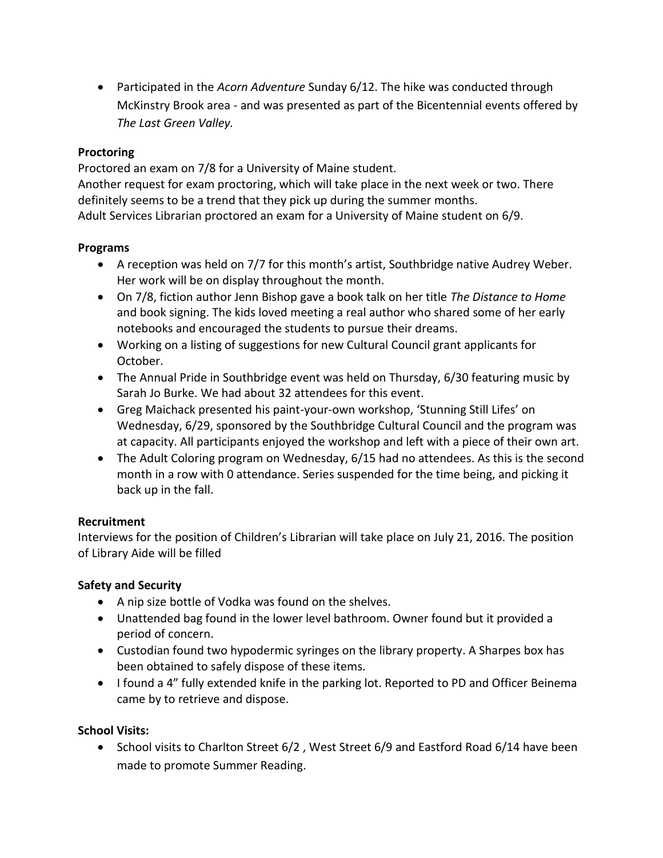Participated in the *Acorn Adventure* Sunday 6/12. The hike was conducted through McKinstry Brook area - and was presented as part of the Bicentennial events offered by *The Last Green Valley.* 

#### **Proctoring**

Proctored an exam on 7/8 for a University of Maine student.

Another request for exam proctoring, which will take place in the next week or two. There definitely seems to be a trend that they pick up during the summer months.

Adult Services Librarian proctored an exam for a University of Maine student on 6/9.

#### **Programs**

- A reception was held on 7/7 for this month's artist, Southbridge native Audrey Weber. Her work will be on display throughout the month.
- On 7/8, fiction author Jenn Bishop gave a book talk on her title *The Distance to Home* and book signing. The kids loved meeting a real author who shared some of her early notebooks and encouraged the students to pursue their dreams.
- Working on a listing of suggestions for new Cultural Council grant applicants for October.
- The Annual Pride in Southbridge event was held on Thursday, 6/30 featuring music by Sarah Jo Burke. We had about 32 attendees for this event.
- Greg Maichack presented his paint-your-own workshop, 'Stunning Still Lifes' on Wednesday, 6/29, sponsored by the Southbridge Cultural Council and the program was at capacity. All participants enjoyed the workshop and left with a piece of their own art.
- The Adult Coloring program on Wednesday, 6/15 had no attendees. As this is the second month in a row with 0 attendance. Series suspended for the time being, and picking it back up in the fall.

### **Recruitment**

Interviews for the position of Children's Librarian will take place on July 21, 2016. The position of Library Aide will be filled

### **Safety and Security**

- A nip size bottle of Vodka was found on the shelves.
- Unattended bag found in the lower level bathroom. Owner found but it provided a period of concern.
- Custodian found two hypodermic syringes on the library property. A Sharpes box has been obtained to safely dispose of these items.
- I found a 4" fully extended knife in the parking lot. Reported to PD and Officer Beinema came by to retrieve and dispose.

## **School Visits:**

• School visits to Charlton Street 6/2, West Street 6/9 and Eastford Road 6/14 have been made to promote Summer Reading.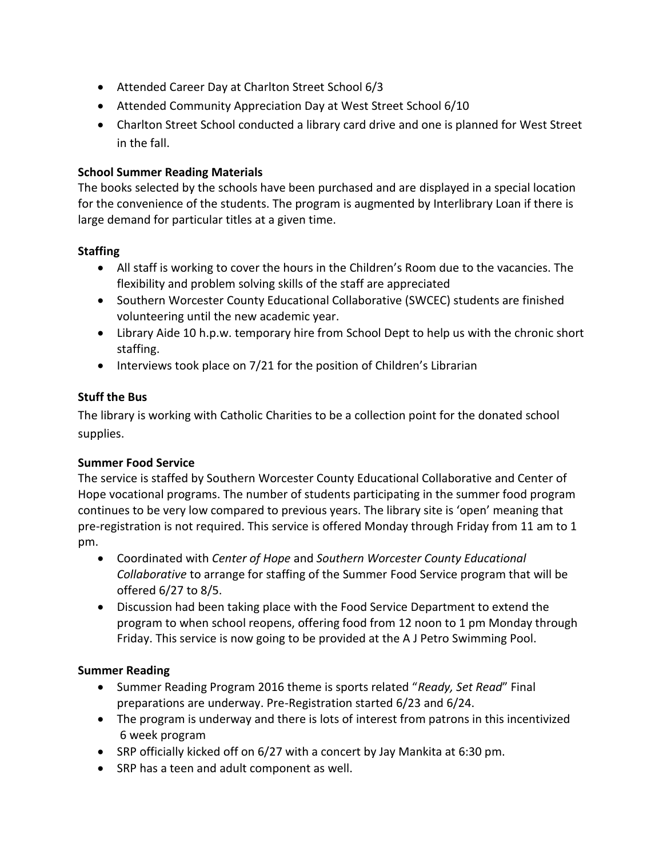- Attended Career Day at Charlton Street School 6/3
- Attended Community Appreciation Day at West Street School 6/10
- Charlton Street School conducted a library card drive and one is planned for West Street in the fall.

#### **School Summer Reading Materials**

The books selected by the schools have been purchased and are displayed in a special location for the convenience of the students. The program is augmented by Interlibrary Loan if there is large demand for particular titles at a given time.

#### **Staffing**

- All staff is working to cover the hours in the Children's Room due to the vacancies. The flexibility and problem solving skills of the staff are appreciated
- Southern Worcester County Educational Collaborative (SWCEC) students are finished volunteering until the new academic year.
- Library Aide 10 h.p.w. temporary hire from School Dept to help us with the chronic short staffing.
- Interviews took place on 7/21 for the position of Children's Librarian

#### **Stuff the Bus**

The library is working with Catholic Charities to be a collection point for the donated school supplies.

#### **Summer Food Service**

The service is staffed by Southern Worcester County Educational Collaborative and Center of Hope vocational programs. The number of students participating in the summer food program continues to be very low compared to previous years. The library site is 'open' meaning that pre-registration is not required. This service is offered Monday through Friday from 11 am to 1 pm.

- Coordinated with *Center of Hope* and *Southern Worcester County Educational Collaborative* to arrange for staffing of the Summer Food Service program that will be offered 6/27 to 8/5.
- Discussion had been taking place with the Food Service Department to extend the program to when school reopens, offering food from 12 noon to 1 pm Monday through Friday. This service is now going to be provided at the A J Petro Swimming Pool.

#### **Summer Reading**

- Summer Reading Program 2016 theme is sports related "*Ready, Set Read*" Final preparations are underway. Pre-Registration started 6/23 and 6/24.
- The program is underway and there is lots of interest from patrons in this incentivized 6 week program
- SRP officially kicked off on 6/27 with a concert by Jay Mankita at 6:30 pm.
- SRP has a teen and adult component as well.